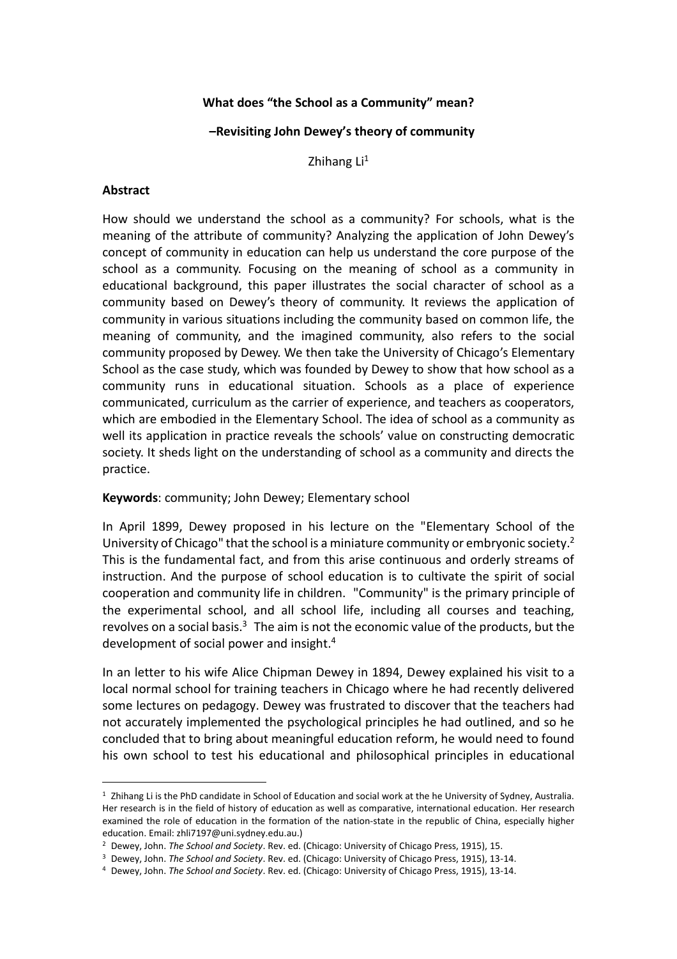## **What does "the School as a Community" mean?**

#### **–Revisiting John Dewey's theory of community**

Zhihang  $Li<sup>1</sup>$ 

#### **Abstract**

l,

How should we understand the school as a community? For schools, what is the meaning of the attribute of community? Analyzing the application of John Dewey's concept of community in education can help us understand the core purpose of the school as a community. Focusing on the meaning of school as a community in educational background, this paper illustrates the social character of school as a community based on Dewey's theory of community. It reviews the application of community in various situations including the community based on common life, the meaning of community, and the imagined community, also refers to the social community proposed by Dewey. We then take the University of Chicago's Elementary School as the case study, which was founded by Dewey to show that how school as a community runs in educational situation. Schools as a place of experience communicated, curriculum as the carrier of experience, and teachers as cooperators, which are embodied in the Elementary School. The idea of school as a community as well its application in practice reveals the schools' value on constructing democratic society. It sheds light on the understanding of school as a community and directs the practice.

#### **Keywords**: community; John Dewey; Elementary school

In April 1899, Dewey proposed in his lecture on the "Elementary School of the University of Chicago" that the school is a miniature community or embryonic society.<sup>2</sup> This is the fundamental fact, and from this arise continuous and orderly streams of instruction. And the purpose of school education is to cultivate the spirit of social cooperation and community life in children. "Community" is the primary principle of the experimental school, and all school life, including all courses and teaching, revolves on a social basis.<sup>3</sup> The aim is not the economic value of the products, but the development of social power and insight.<sup>4</sup>

In an letter to his wife Alice Chipman Dewey in 1894, Dewey explained his visit to a local normal school for training teachers in Chicago where he had recently delivered some lectures on pedagogy. Dewey was frustrated to discover that the teachers had not accurately implemented the psychological principles he had outlined, and so he concluded that to bring about meaningful education reform, he would need to found his own school to test his educational and philosophical principles in educational

<sup>1</sup> Zhihang Li is the PhD candidate in School of Education and social work at the he University of Sydney, Australia. Her research is in the field of history of education as well as comparative, international education. Her research examined the role of education in the formation of the nation-state in the republic of China, especially higher education. Email: zhli7197@uni.sydney.edu.au.)

<sup>2</sup> Dewey, John. *The School and Society*. Rev. ed. (Chicago: University of Chicago Press, 1915), 15.

<sup>3</sup> Dewey, John. *The School and Society*. Rev. ed. (Chicago: University of Chicago Press, 1915), 13-14.

<sup>4</sup> Dewey, John. *The School and Society*. Rev. ed. (Chicago: University of Chicago Press, 1915), 13-14.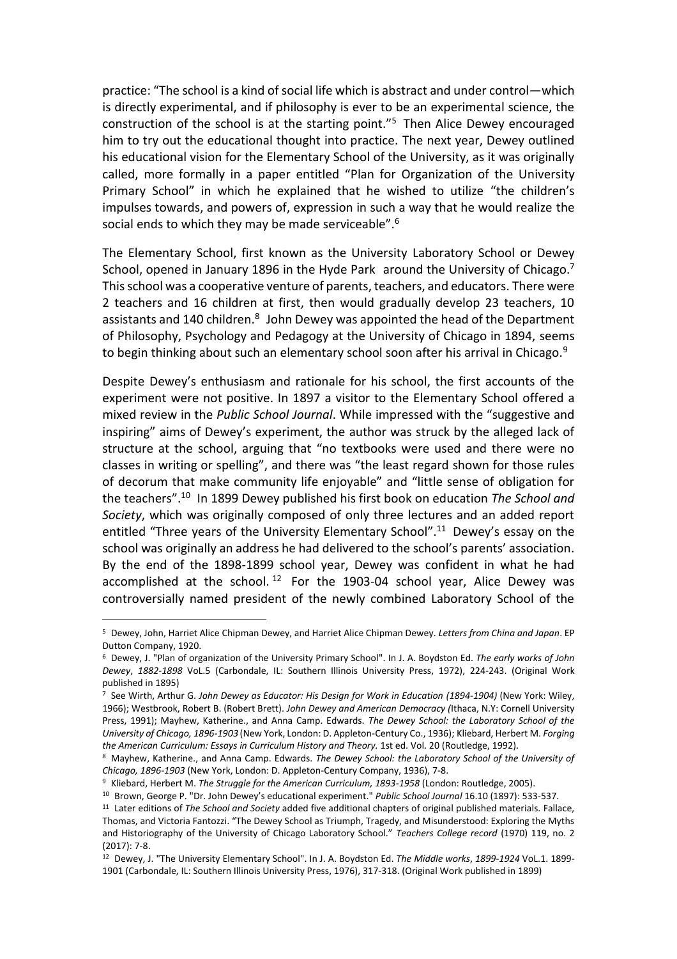practice: "The school is a kind of social life which is abstract and under control—which is directly experimental, and if philosophy is ever to be an experimental science, the construction of the school is at the starting point."<sup>5</sup> Then Alice Dewey encouraged him to try out the educational thought into practice. The next year, Dewey outlined his educational vision for the Elementary School of the University, as it was originally called, more formally in a paper entitled "Plan for Organization of the University Primary School" in which he explained that he wished to utilize "the children's impulses towards, and powers of, expression in such a way that he would realize the social ends to which they may be made serviceable".<sup>6</sup>

The Elementary School, first known as the University Laboratory School or Dewey School, opened in January 1896 in the Hyde Park around the University of Chicago.<sup>7</sup> This school was a cooperative venture of parents, teachers, and educators. There were 2 teachers and 16 children at first, then would gradually develop 23 teachers, 10 assistants and 140 children.<sup>8</sup> John Dewey was appointed the head of the Department of Philosophy, Psychology and Pedagogy at the University of Chicago in 1894, seems to begin thinking about such an elementary school soon after his arrival in Chicago.<sup>9</sup>

Despite Dewey's enthusiasm and rationale for his school, the first accounts of the experiment were not positive. In 1897 a visitor to the Elementary School offered a mixed review in the *Public School Journal*. While impressed with the "suggestive and inspiring" aims of Dewey's experiment, the author was struck by the alleged lack of structure at the school, arguing that "no textbooks were used and there were no classes in writing or spelling", and there was "the least regard shown for those rules of decorum that make community life enjoyable" and "little sense of obligation for the teachers".<sup>10</sup> In 1899 Dewey published his first book on education *The School and Society*, which was originally composed of only three lectures and an added report entitled "Three years of the University Elementary School".<sup>11</sup> Dewey's essay on the school was originally an address he had delivered to the school's parents' association. By the end of the 1898-1899 school year, Dewey was confident in what he had accomplished at the school.<sup>12</sup> For the 1903-04 school year, Alice Dewey was controversially named president of the newly combined Laboratory School of the

<sup>5</sup> Dewey, John, Harriet Alice Chipman Dewey, and Harriet Alice Chipman Dewey. *Letters from China and Japan*. EP Dutton Company, 1920.

<sup>6</sup> Dewey, J. "Plan of organization of the University Primary School". In J. A. Boydston Ed. *The early works of John Dewey*, *1882-1898* VoL.5 (Carbondale, IL: Southern Illinois University Press, 1972), 224-243. (Original Work published in 1895)

<sup>7</sup> See Wirth, Arthur G. *John Dewey as Educator: His Design for Work in Education (1894-1904)* (New York: Wiley, 1966); Westbrook, Robert B. (Robert Brett). *John Dewey and American Democracy (*Ithaca, N.Y: Cornell University Press, 1991); Mayhew, Katherine., and Anna Camp. Edwards. *The Dewey School: the Laboratory School of the University of Chicago, 1896-1903* (New York, London: D. Appleton-Century Co., 1936); Kliebard, Herbert M. *Forging the American Curriculum: Essays in Curriculum History and Theory.* 1st ed. Vol. 20 (Routledge, 1992).

<sup>8</sup> Mayhew, Katherine., and Anna Camp. Edwards. *The Dewey School: the Laboratory School of the University of Chicago, 1896-1903* (New York, London: D. Appleton-Century Company, 1936), 7-8.

<sup>9</sup> Kliebard, Herbert M. *The Struggle for the American Curriculum, 1893-1958* (London: Routledge, 2005).

<sup>10</sup> Brown, George P. "Dr. John Dewey's educational experiment." *Public School Journal* 16.10 (1897): 533-537. <sup>11</sup> Later editions of *The School and Society* added five additional chapters of original published materials. Fallace,

Thomas, and Victoria Fantozzi. "The Dewey School as Triumph, Tragedy, and Misunderstood: Exploring the Myths and Historiography of the University of Chicago Laboratory School." *Teachers College record* (1970) 119, no. 2 (2017): 7-8.

<sup>12</sup> Dewey, J. "The University Elementary School". In J. A. Boydston Ed. *The Middle works*, *1899-1924* VoL.1. 1899- 1901 (Carbondale, IL: Southern Illinois University Press, 1976), 317-318. (Original Work published in 1899)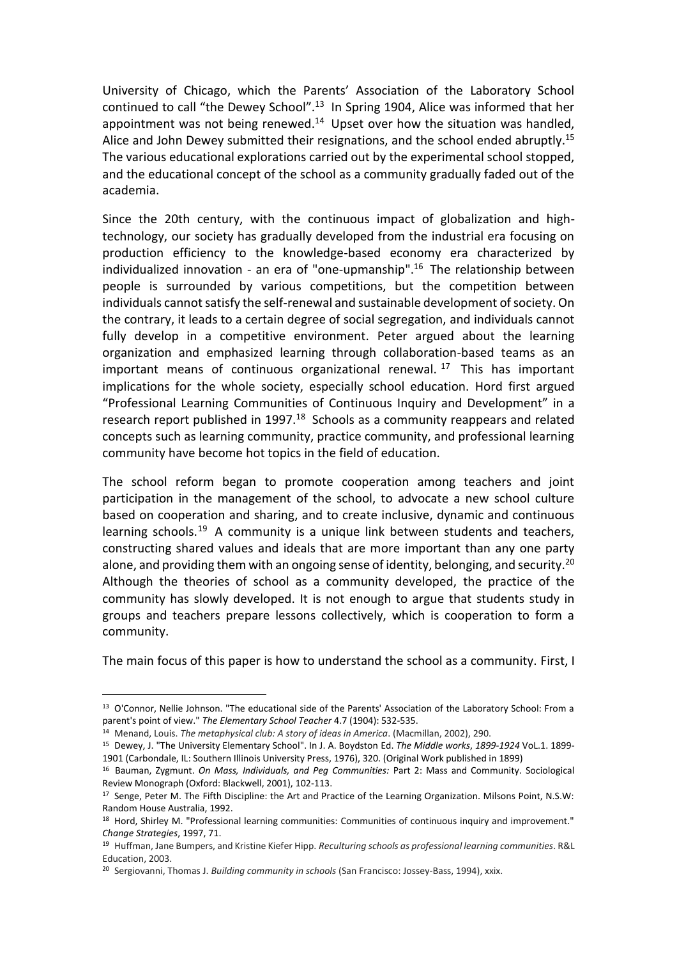University of Chicago, which the Parents' Association of the Laboratory School continued to call "the Dewey School".<sup>13</sup> In Spring 1904, Alice was informed that her appointment was not being renewed.<sup>14</sup> Upset over how the situation was handled, Alice and John Dewey submitted their resignations, and the school ended abruptly.<sup>15</sup> The various educational explorations carried out by the experimental school stopped, and the educational concept of the school as a community gradually faded out of the academia.

Since the 20th century, with the continuous impact of globalization and hightechnology, our society has gradually developed from the industrial era focusing on production efficiency to the knowledge-based economy era characterized by individualized innovation - an era of "one-upmanship".<sup>16</sup> The relationship between people is surrounded by various competitions, but the competition between individuals cannot satisfy the self-renewal and sustainable development of society. On the contrary, it leads to a certain degree of social segregation, and individuals cannot fully develop in a competitive environment. Peter argued about the learning organization and emphasized learning through collaboration-based teams as an important means of continuous organizational renewal.<sup>17</sup> This has important implications for the whole society, especially school education. Hord first argued "Professional Learning Communities of Continuous Inquiry and Development" in a research report published in 1997.<sup>18</sup> Schools as a community reappears and related concepts such as learning community, practice community, and professional learning community have become hot topics in the field of education.

The school reform began to promote cooperation among teachers and joint participation in the management of the school, to advocate a new school culture based on cooperation and sharing, and to create inclusive, dynamic and continuous learning schools.<sup>19</sup> A community is a unique link between students and teachers, constructing shared values and ideals that are more important than any one party alone, and providing them with an ongoing sense of identity, belonging, and security.<sup>20</sup> Although the theories of school as a community developed, the practice of the community has slowly developed. It is not enough to argue that students study in groups and teachers prepare lessons collectively, which is cooperation to form a community.

The main focus of this paper is how to understand the school as a community. First, I

<sup>13</sup> O'Connor, Nellie Johnson. "The educational side of the Parents' Association of the Laboratory School: From a parent's point of view." *The Elementary School Teacher* 4.7 (1904): 532-535.

<sup>14</sup> Menand, Louis. *The metaphysical club: A story of ideas in America*. (Macmillan, 2002), 290.

<sup>15</sup> Dewey, J. "The University Elementary School". In J. A. Boydston Ed. *The Middle works*, *1899-1924* VoL.1. 1899- 1901 (Carbondale, IL: Southern Illinois University Press, 1976), 320. (Original Work published in 1899)

<sup>16</sup> Bauman, Zygmunt. *On Mass, Individuals, and Peg Communities:* Part 2: Mass and Community. Sociological Review Monograph (Oxford: Blackwell, 2001), 102-113.

<sup>&</sup>lt;sup>17</sup> Senge, Peter M. The Fifth Discipline: the Art and Practice of the Learning Organization. Milsons Point, N.S.W: Random House Australia, 1992.

<sup>18</sup> Hord, Shirley M. "Professional learning communities: Communities of continuous inquiry and improvement." *Change Strategies*, 1997, 71.

<sup>19</sup> Huffman, Jane Bumpers, and Kristine Kiefer Hipp. *Reculturing schools as professional learning communities*. R&L Education, 2003.

<sup>20</sup> Sergiovanni, Thomas J. *Building community in schools* (San Francisco: Jossey-Bass, 1994), xxix.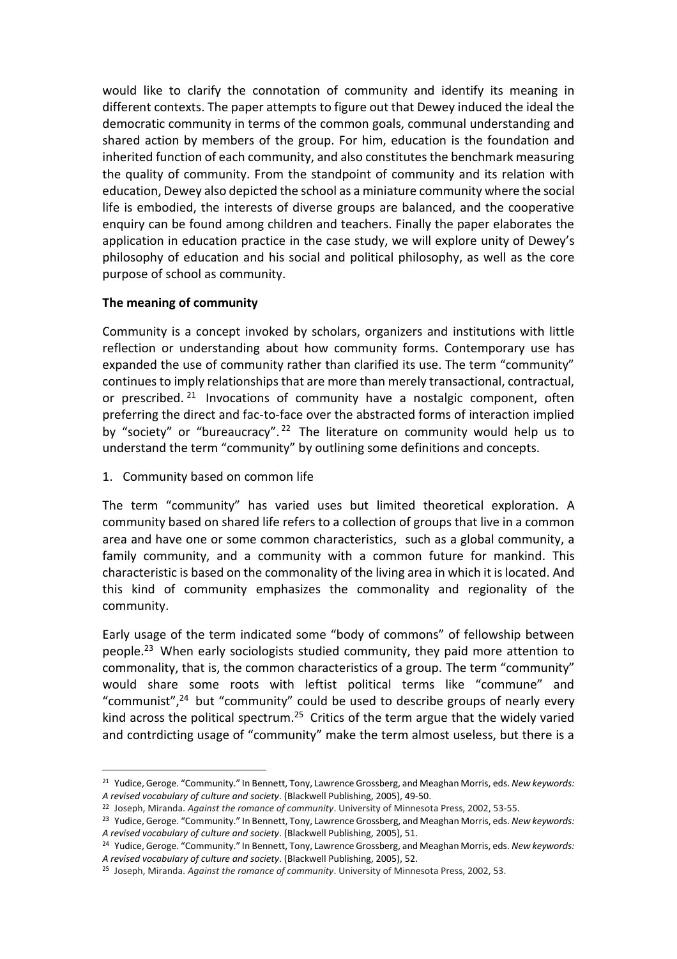would like to clarify the connotation of community and identify its meaning in different contexts. The paper attempts to figure out that Dewey induced the ideal the democratic community in terms of the common goals, communal understanding and shared action by members of the group. For him, education is the foundation and inherited function of each community, and also constitutes the benchmark measuring the quality of community. From the standpoint of community and its relation with education, Dewey also depicted the school as a miniature community where the social life is embodied, the interests of diverse groups are balanced, and the cooperative enquiry can be found among children and teachers. Finally the paper elaborates the application in education practice in the case study, we will explore unity of Dewey's philosophy of education and his social and political philosophy, as well as the core purpose of school as community.

# **The meaning of community**

Community is a concept invoked by scholars, organizers and institutions with little reflection or understanding about how community forms. Contemporary use has expanded the use of community rather than clarified its use. The term "community" continues to imply relationships that are more than merely transactional, contractual, or prescribed.  $21$  Invocations of community have a nostalgic component, often preferring the direct and fac-to-face over the abstracted forms of interaction implied by "society" or "bureaucracy".<sup>22</sup> The literature on community would help us to understand the term "community" by outlining some definitions and concepts.

1. Community based on common life

l,

The term "community" has varied uses but limited theoretical exploration. A community based on shared life refers to a collection of groups that live in a common area and have one or some common characteristics, such as a global community, a family community, and a community with a common future for mankind. This characteristic is based on the commonality of the living area in which it is located. And this kind of community emphasizes the commonality and regionality of the community.

Early usage of the term indicated some "body of commons" of fellowship between people.<sup>23</sup> When early sociologists studied community, they paid more attention to commonality, that is, the common characteristics of a group. The term "community" would share some roots with leftist political terms like "commune" and "communist", $24$  but "community" could be used to describe groups of nearly every kind across the political spectrum.<sup>25</sup> Critics of the term argue that the widely varied and contrdicting usage of "community" make the term almost useless, but there is a

<sup>21</sup> Yudice, Geroge. "Community." In Bennett, Tony, Lawrence Grossberg, and Meaghan Morris, eds. *New keywords: A revised vocabulary of culture and society*. (Blackwell Publishing, 2005), 49-50.

<sup>22</sup> Joseph, Miranda. *Against the romance of community*. University of Minnesota Press, 2002, 53-55.

<sup>23</sup> Yudice, Geroge. "Community." In Bennett, Tony, Lawrence Grossberg, and Meaghan Morris, eds. *New keywords: A revised vocabulary of culture and society*. (Blackwell Publishing, 2005), 51.

<sup>24</sup> Yudice, Geroge. "Community." In Bennett, Tony, Lawrence Grossberg, and Meaghan Morris, eds. *New keywords: A revised vocabulary of culture and society*. (Blackwell Publishing, 2005), 52.

<sup>25</sup> Joseph, Miranda. *Against the romance of community*. University of Minnesota Press, 2002, 53.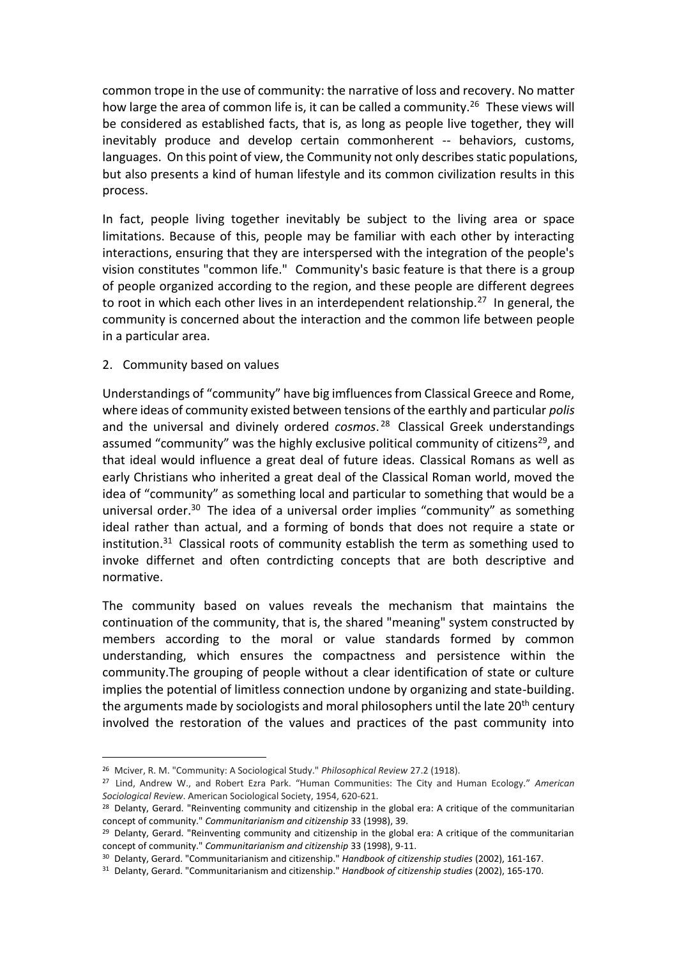common trope in the use of community: the narrative of loss and recovery. No matter how large the area of common life is, it can be called a community.<sup>26</sup> These views will be considered as established facts, that is, as long as people live together, they will inevitably produce and develop certain commonherent -- behaviors, customs, languages. On this point of view, the Community not only describes static populations, but also presents a kind of human lifestyle and its common civilization results in this process.

In fact, people living together inevitably be subject to the living area or space limitations. Because of this, people may be familiar with each other by interacting interactions, ensuring that they are interspersed with the integration of the people's vision constitutes "common life." Community's basic feature is that there is a group of people organized according to the region, and these people are different degrees to root in which each other lives in an interdependent relationship.<sup>27</sup> In general, the community is concerned about the interaction and the common life between people in a particular area.

## 2. Community based on values

l,

Understandings of "community" have big imfluences from Classical Greece and Rome, where ideas of community existed between tensions of the earthly and particular *polis* and the universal and divinely ordered *cosmos*. <sup>28</sup> Classical Greek understandings assumed "community" was the highly exclusive political community of citizens<sup>29</sup>, and that ideal would influence a great deal of future ideas. Classical Romans as well as early Christians who inherited a great deal of the Classical Roman world, moved the idea of "community" as something local and particular to something that would be a universal order.<sup>30</sup> The idea of a universal order implies "community" as something ideal rather than actual, and a forming of bonds that does not require a state or institution. $31$  Classical roots of community establish the term as something used to invoke differnet and often contrdicting concepts that are both descriptive and normative.

The community based on values reveals the mechanism that maintains the continuation of the community, that is, the shared "meaning" system constructed by members according to the moral or value standards formed by common understanding, which ensures the compactness and persistence within the community.The grouping of people without a clear identification of state or culture implies the potential of limitless connection undone by organizing and state-building. the arguments made by sociologists and moral philosophers until the late 20<sup>th</sup> century involved the restoration of the values and practices of the past community into

<sup>26</sup> Mciver, R. M. "Community: A Sociological Study." *Philosophical Review* 27.2 (1918).

<sup>27</sup> Lind, Andrew W., and Robert Ezra Park. "Human Communities: The City and Human Ecology." *American Sociological Review*. American Sociological Society, 1954, 620-621.

<sup>&</sup>lt;sup>28</sup> Delanty, Gerard. "Reinventing community and citizenship in the global era: A critique of the communitarian concept of community." *Communitarianism and citizenship* 33 (1998), 39.

<sup>&</sup>lt;sup>29</sup> Delanty, Gerard. "Reinventing community and citizenship in the global era: A critique of the communitarian concept of community." *Communitarianism and citizenship* 33 (1998), 9-11.

<sup>30</sup> Delanty, Gerard. "Communitarianism and citizenship." *Handbook of citizenship studies* (2002), 161-167.

<sup>31</sup> Delanty, Gerard. "Communitarianism and citizenship." *Handbook of citizenship studies* (2002), 165-170.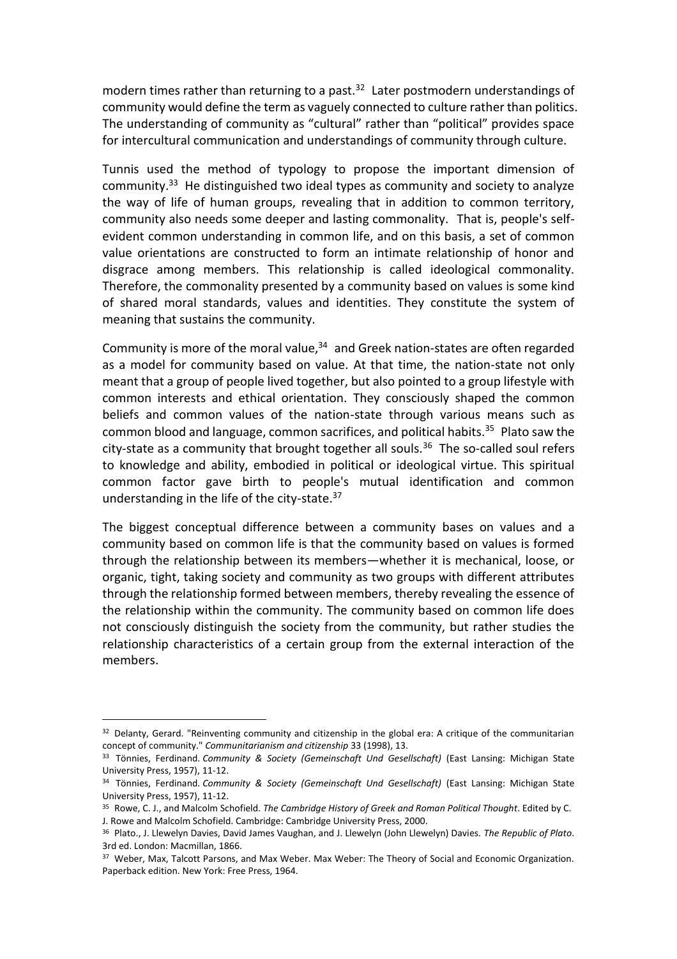modern times rather than returning to a past. $32$  Later postmodern understandings of community would define the term as vaguely connected to culture rather than politics. The understanding of community as "cultural" rather than "political" provides space for intercultural communication and understandings of community through culture.

Tunnis used the method of typology to propose the important dimension of community.<sup>33</sup> He distinguished two ideal types as community and society to analyze the way of life of human groups, revealing that in addition to common territory, community also needs some deeper and lasting commonality. That is, people's selfevident common understanding in common life, and on this basis, a set of common value orientations are constructed to form an intimate relationship of honor and disgrace among members. This relationship is called ideological commonality. Therefore, the commonality presented by a community based on values is some kind of shared moral standards, values and identities. They constitute the system of meaning that sustains the community.

Community is more of the moral value, $34$  and Greek nation-states are often regarded as a model for community based on value. At that time, the nation-state not only meant that a group of people lived together, but also pointed to a group lifestyle with common interests and ethical orientation. They consciously shaped the common beliefs and common values of the nation-state through various means such as common blood and language, common sacrifices, and political habits.<sup>35</sup> Plato saw the city-state as a community that brought together all souls.<sup>36</sup> The so-called soul refers to knowledge and ability, embodied in political or ideological virtue. This spiritual common factor gave birth to people's mutual identification and common understanding in the life of the city-state.<sup>37</sup>

The biggest conceptual difference between a community bases on values and a community based on common life is that the community based on values is formed through the relationship between its members—whether it is mechanical, loose, or organic, tight, taking society and community as two groups with different attributes through the relationship formed between members, thereby revealing the essence of the relationship within the community. The community based on common life does not consciously distinguish the society from the community, but rather studies the relationship characteristics of a certain group from the external interaction of the members.

 $\overline{a}$ 

<sup>32</sup> Delanty, Gerard. "Reinventing community and citizenship in the global era: A critique of the communitarian concept of community." *Communitarianism and citizenship* 33 (1998), 13.

<sup>33</sup> Tönnies, Ferdinand. *Community & Society (Gemeinschaft Und Gesellschaft)* (East Lansing: Michigan State University Press, 1957), 11-12.

<sup>34</sup> Tönnies, Ferdinand. *Community & Society (Gemeinschaft Und Gesellschaft)* (East Lansing: Michigan State University Press, 1957), 11-12.

<sup>35</sup> Rowe, C. J., and Malcolm Schofield. *The Cambridge History of Greek and Roman Political Thought*. Edited by C. J. Rowe and Malcolm Schofield. Cambridge: Cambridge University Press, 2000.

<sup>36</sup> Plato., J. Llewelyn Davies, David James Vaughan, and J. Llewelyn (John Llewelyn) Davies. *The Republic of Plato*. 3rd ed. London: Macmillan, 1866.

<sup>&</sup>lt;sup>37</sup> Weber, Max, Talcott Parsons, and Max Weber. Max Weber: The Theory of Social and Economic Organization. Paperback edition. New York: Free Press, 1964.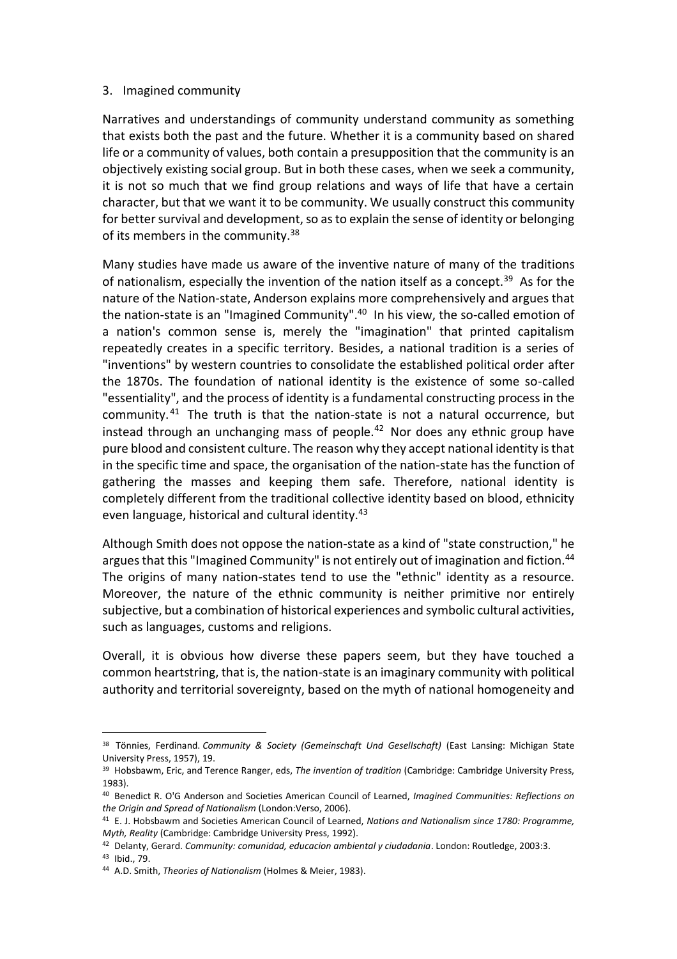## 3. Imagined community

Narratives and understandings of community understand community as something that exists both the past and the future. Whether it is a community based on shared life or a community of values, both contain a presupposition that the community is an objectively existing social group. But in both these cases, when we seek a community, it is not so much that we find group relations and ways of life that have a certain character, but that we want it to be community. We usually construct this community for better survival and development, so as to explain the sense of identity or belonging of its members in the community.<sup>38</sup>

Many studies have made us aware of the inventive nature of many of the traditions of nationalism, especially the invention of the nation itself as a concept.<sup>39</sup> As for the nature of the Nation-state, Anderson explains more comprehensively and argues that the nation-state is an "Imagined Community".<sup>40</sup> In his view, the so-called emotion of a nation's common sense is, merely the "imagination" that printed capitalism repeatedly creates in a specific territory. Besides, a national tradition is a series of "inventions" by western countries to consolidate the established political order after the 1870s. The foundation of national identity is the existence of some so-called "essentiality", and the process of identity is a fundamental constructing process in the community. <sup>41</sup> The truth is that the nation-state is not a natural occurrence, but instead through an unchanging mass of people. $42$  Nor does any ethnic group have pure blood and consistent culture. The reason why they accept national identity is that in the specific time and space, the organisation of the nation-state has the function of gathering the masses and keeping them safe. Therefore, national identity is completely different from the traditional collective identity based on blood, ethnicity even language, historical and cultural identity.<sup>43</sup>

Although Smith does not oppose the nation-state as a kind of "state construction," he argues that this "Imagined Community" is not entirely out of imagination and fiction.<sup>44</sup> The origins of many nation-states tend to use the "ethnic" identity as a resource. Moreover, the nature of the ethnic community is neither primitive nor entirely subjective, but a combination of historical experiences and symbolic cultural activities, such as languages, customs and religions.

Overall, it is obvious how diverse these papers seem, but they have touched a common heartstring, that is, the nation-state is an imaginary community with political authority and territorial sovereignty, based on the myth of national homogeneity and

<sup>38</sup> Tönnies, Ferdinand. *Community & Society (Gemeinschaft Und Gesellschaft)* (East Lansing: Michigan State University Press, 1957), 19.

<sup>39</sup> Hobsbawm, Eric, and Terence Ranger, eds, *The invention of tradition* (Cambridge: Cambridge University Press, 1983).

<sup>40</sup> Benedict R. O'G Anderson and Societies American Council of Learned, *Imagined Communities: Reflections on the Origin and Spread of Nationalism* (London:Verso, 2006).

<sup>41</sup> E. J. Hobsbawm and Societies American Council of Learned, *Nations and Nationalism since 1780: Programme, Myth, Reality* (Cambridge: Cambridge University Press, 1992).

<sup>42</sup> Delanty, Gerard. *Community: comunidad, educacion ambiental y ciudadania*. London: Routledge, 2003:3. <sup>43</sup> Ibid., 79.

<sup>44</sup> A.D. Smith, *Theories of Nationalism* (Holmes & Meier, 1983).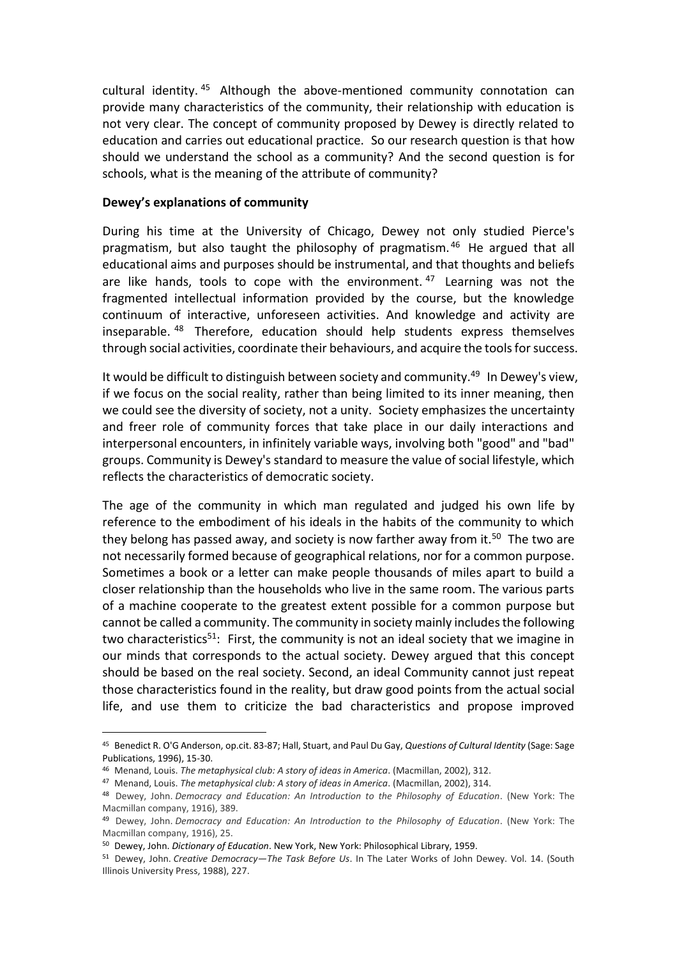cultural identity. <sup>45</sup> Although the above-mentioned community connotation can provide many characteristics of the community, their relationship with education is not very clear. The concept of community proposed by Dewey is directly related to education and carries out educational practice. So our research question is that how should we understand the school as a community? And the second question is for schools, what is the meaning of the attribute of community?

#### **Dewey's explanations of community**

During his time at the University of Chicago, Dewey not only studied Pierce's pragmatism, but also taught the philosophy of pragmatism. <sup>46</sup> He argued that all educational aims and purposes should be instrumental, and that thoughts and beliefs are like hands, tools to cope with the environment.  $47$  Learning was not the fragmented intellectual information provided by the course, but the knowledge continuum of interactive, unforeseen activities. And knowledge and activity are inseparable. <sup>48</sup> Therefore, education should help students express themselves through social activities, coordinate their behaviours, and acquire the tools for success.

It would be difficult to distinguish between society and community.<sup>49</sup> In Dewey's view, if we focus on the social reality, rather than being limited to its inner meaning, then we could see the diversity of society, not a unity. Society emphasizes the uncertainty and freer role of community forces that take place in our daily interactions and interpersonal encounters, in infinitely variable ways, involving both "good" and "bad" groups. Community is Dewey's standard to measure the value of social lifestyle, which reflects the characteristics of democratic society.

The age of the community in which man regulated and judged his own life by reference to the embodiment of his ideals in the habits of the community to which they belong has passed away, and society is now farther away from it.<sup>50</sup> The two are not necessarily formed because of geographical relations, nor for a common purpose. Sometimes a book or a letter can make people thousands of miles apart to build a closer relationship than the households who live in the same room. The various parts of a machine cooperate to the greatest extent possible for a common purpose but cannot be called a community. The community in society mainly includes the following two characteristics<sup>51</sup>: First, the community is not an ideal society that we imagine in our minds that corresponds to the actual society. Dewey argued that this concept should be based on the real society. Second, an ideal Community cannot just repeat those characteristics found in the reality, but draw good points from the actual social life, and use them to criticize the bad characteristics and propose improved

<sup>45</sup> Benedict R. O'G Anderson, op.cit. 83-87; Hall, Stuart, and Paul Du Gay, *Questions of Cultural Identity* (Sage: Sage Publications, 1996), 15-30.

<sup>46</sup> Menand, Louis. *The metaphysical club: A story of ideas in America*. (Macmillan, 2002), 312.

<sup>47</sup> Menand, Louis. *The metaphysical club: A story of ideas in America*. (Macmillan, 2002), 314.

<sup>48</sup> Dewey, John. *Democracy and Education: An Introduction to the Philosophy of Education*. (New York: The Macmillan company, 1916), 389.

<sup>49</sup> Dewey, John. *Democracy and Education: An Introduction to the Philosophy of Education*. (New York: The Macmillan company, 1916), 25.

<sup>50</sup> Dewey, John. *Dictionary of Education*. New York, New York: Philosophical Library, 1959.

<sup>51</sup> Dewey, John. *Creative Democracy—The Task Before Us*. In The Later Works of John Dewey. Vol. 14. (South Illinois University Press, 1988), 227.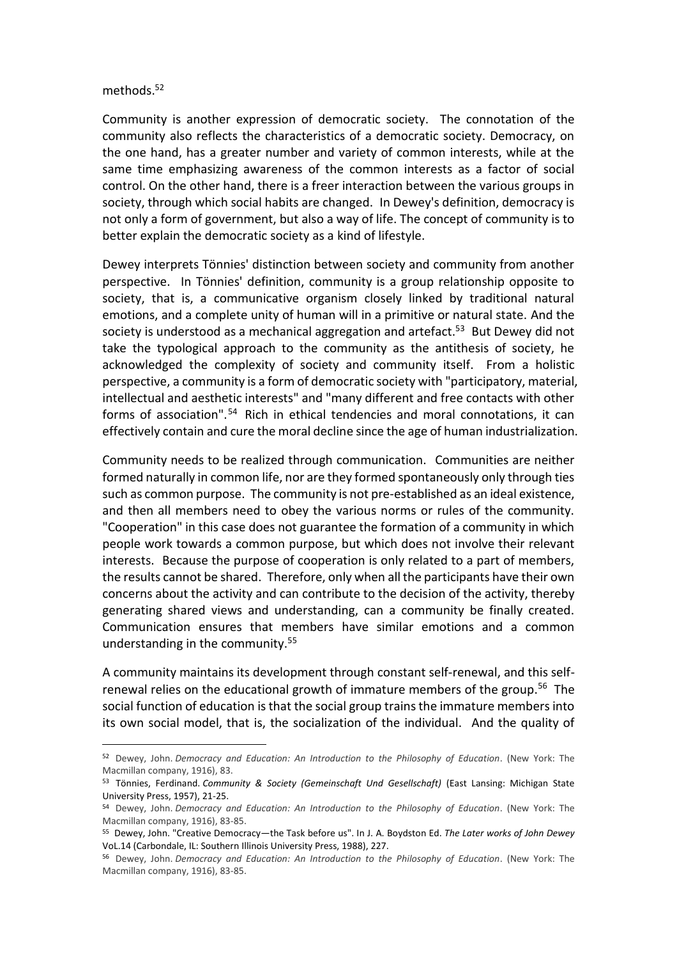#### methods.<sup>52</sup>

l,

Community is another expression of democratic society. The connotation of the community also reflects the characteristics of a democratic society. Democracy, on the one hand, has a greater number and variety of common interests, while at the same time emphasizing awareness of the common interests as a factor of social control. On the other hand, there is a freer interaction between the various groups in society, through which social habits are changed. In Dewey's definition, democracy is not only a form of government, but also a way of life. The concept of community is to better explain the democratic society as a kind of lifestyle.

Dewey interprets Tönnies' distinction between society and community from another perspective. In Tönnies' definition, community is a group relationship opposite to society, that is, a communicative organism closely linked by traditional natural emotions, and a complete unity of human will in a primitive or natural state. And the society is understood as a mechanical aggregation and artefact.<sup>53</sup> But Dewey did not take the typological approach to the community as the antithesis of society, he acknowledged the complexity of society and community itself. From a holistic perspective, a community is a form of democratic society with "participatory, material, intellectual and aesthetic interests" and "many different and free contacts with other forms of association".<sup>54</sup> Rich in ethical tendencies and moral connotations, it can effectively contain and cure the moral decline since the age of human industrialization.

Community needs to be realized through communication. Communities are neither formed naturally in common life, nor are they formed spontaneously only through ties such as common purpose. The community is not pre-established as an ideal existence, and then all members need to obey the various norms or rules of the community. "Cooperation" in this case does not guarantee the formation of a community in which people work towards a common purpose, but which does not involve their relevant interests. Because the purpose of cooperation is only related to a part of members, the results cannot be shared. Therefore, only when all the participants have their own concerns about the activity and can contribute to the decision of the activity, thereby generating shared views and understanding, can a community be finally created. Communication ensures that members have similar emotions and a common understanding in the community.<sup>55</sup>

A community maintains its development through constant self-renewal, and this selfrenewal relies on the educational growth of immature members of the group.<sup>56</sup> The social function of education is that the social group trains the immature members into its own social model, that is, the socialization of the individual. And the quality of

<sup>52</sup> Dewey, John. *Democracy and Education: An Introduction to the Philosophy of Education*. (New York: The Macmillan company, 1916), 83.

<sup>53</sup> Tönnies, Ferdinand. *Community & Society (Gemeinschaft Und Gesellschaft)* (East Lansing: Michigan State University Press, 1957), 21-25.

<sup>54</sup> Dewey, John. *Democracy and Education: An Introduction to the Philosophy of Education*. (New York: The Macmillan company, 1916), 83-85.

<sup>55</sup> Dewey, John. "Creative Democracy—the Task before us". In J. A. Boydston Ed. *The Later works of John Dewey* VoL.14 (Carbondale, IL: Southern Illinois University Press, 1988), 227.

<sup>56</sup> Dewey, John. *Democracy and Education: An Introduction to the Philosophy of Education*. (New York: The Macmillan company, 1916), 83-85.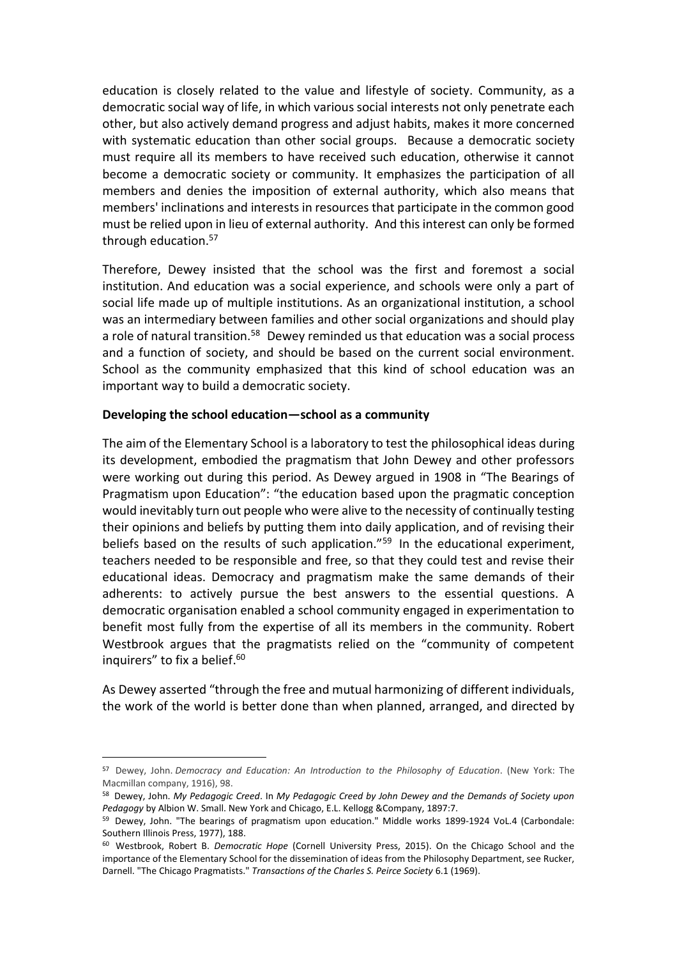education is closely related to the value and lifestyle of society. Community, as a democratic social way of life, in which various social interests not only penetrate each other, but also actively demand progress and adjust habits, makes it more concerned with systematic education than other social groups. Because a democratic society must require all its members to have received such education, otherwise it cannot become a democratic society or community. It emphasizes the participation of all members and denies the imposition of external authority, which also means that members' inclinations and interests in resources that participate in the common good must be relied upon in lieu of external authority. And this interest can only be formed through education.<sup>57</sup>

Therefore, Dewey insisted that the school was the first and foremost a social institution. And education was a social experience, and schools were only a part of social life made up of multiple institutions. As an organizational institution, a school was an intermediary between families and other social organizations and should play a role of natural transition.<sup>58</sup> Dewey reminded us that education was a social process and a function of society, and should be based on the current social environment. School as the community emphasized that this kind of school education was an important way to build a democratic society.

## **Developing the school education—school as a community**

l,

The aim of the Elementary School is a laboratory to test the philosophical ideas during its development, embodied the pragmatism that John Dewey and other professors were working out during this period. As Dewey argued in 1908 in "The Bearings of Pragmatism upon Education": "the education based upon the pragmatic conception would inevitably turn out people who were alive to the necessity of continually testing their opinions and beliefs by putting them into daily application, and of revising their beliefs based on the results of such application."<sup>59</sup> In the educational experiment, teachers needed to be responsible and free, so that they could test and revise their educational ideas. Democracy and pragmatism make the same demands of their adherents: to actively pursue the best answers to the essential questions. A democratic organisation enabled a school community engaged in experimentation to benefit most fully from the expertise of all its members in the community. Robert Westbrook argues that the pragmatists relied on the "community of competent inquirers" to fix a belief. 60

As Dewey asserted "through the free and mutual harmonizing of different individuals, the work of the world is better done than when planned, arranged, and directed by

<sup>57</sup> Dewey, John. *Democracy and Education: An Introduction to the Philosophy of Education*. (New York: The Macmillan company, 1916), 98.

<sup>58</sup> Dewey, John. *My Pedagogic Creed*. In *My Pedagogic Creed by John Dewey and the Demands of Society upon Pedagogy* by Albion W. Small. New York and Chicago, E.L. Kellogg &Company, 1897:7.

<sup>59</sup> Dewey, John. "The bearings of pragmatism upon education." Middle works 1899-1924 VoL.4 (Carbondale: Southern Illinois Press, 1977), 188.

<sup>60</sup> Westbrook, Robert B. *Democratic Hope* (Cornell University Press, 2015). On the Chicago School and the importance of the Elementary School for the dissemination of ideas from the Philosophy Department, see Rucker, Darnell. "The Chicago Pragmatists." *Transactions of the Charles S. Peirce Society* 6.1 (1969).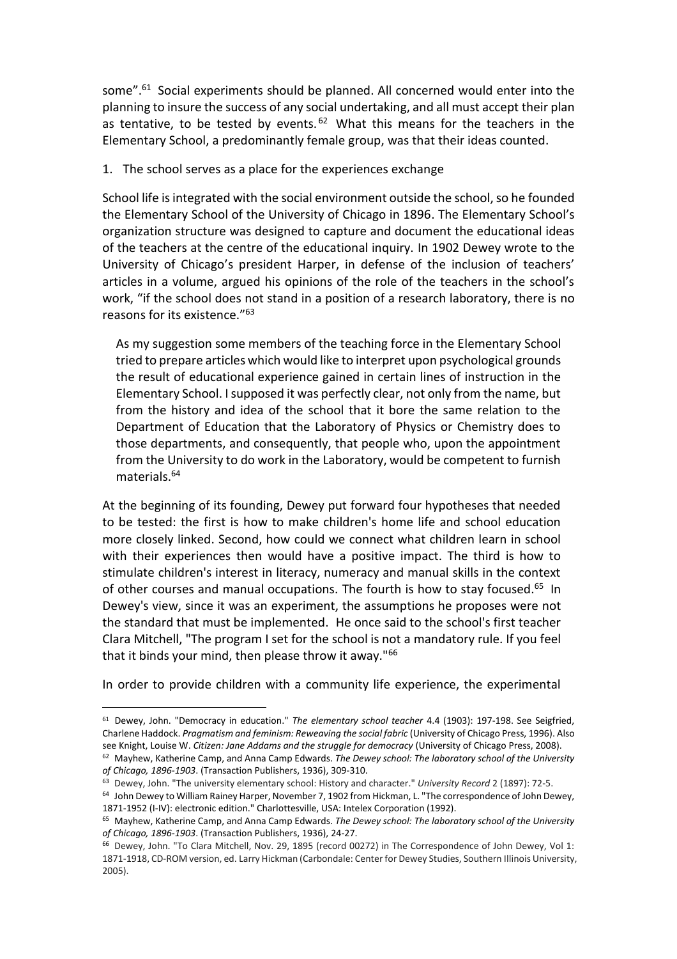some".<sup>61</sup> Social experiments should be planned. All concerned would enter into the planning to insure the success of any social undertaking, and all must accept their plan as tentative, to be tested by events.<sup>62</sup> What this means for the teachers in the Elementary School, a predominantly female group, was that their ideas counted.

# 1. The school serves as a place for the experiences exchange

School life is integrated with the social environment outside the school, so he founded the Elementary School of the University of Chicago in 1896. The Elementary School's organization structure was designed to capture and document the educational ideas of the teachers at the centre of the educational inquiry. In 1902 Dewey wrote to the University of Chicago's president Harper, in defense of the inclusion of teachers' articles in a volume, argued his opinions of the role of the teachers in the school's work, "if the school does not stand in a position of a research laboratory, there is no reasons for its existence."<sup>63</sup>

As my suggestion some members of the teaching force in the Elementary School tried to prepare articles which would like to interpret upon psychological grounds the result of educational experience gained in certain lines of instruction in the Elementary School. I supposed it was perfectly clear, not only from the name, but from the history and idea of the school that it bore the same relation to the Department of Education that the Laboratory of Physics or Chemistry does to those departments, and consequently, that people who, upon the appointment from the University to do work in the Laboratory, would be competent to furnish materials.<sup>64</sup>

At the beginning of its founding, Dewey put forward four hypotheses that needed to be tested: the first is how to make children's home life and school education more closely linked. Second, how could we connect what children learn in school with their experiences then would have a positive impact. The third is how to stimulate children's interest in literacy, numeracy and manual skills in the context of other courses and manual occupations. The fourth is how to stay focused.<sup>65</sup> In Dewey's view, since it was an experiment, the assumptions he proposes were not the standard that must be implemented. He once said to the school's first teacher Clara Mitchell, "The program I set for the school is not a mandatory rule. If you feel that it binds your mind, then please throw it away."<sup>66</sup>

In order to provide children with a community life experience, the experimental

<sup>61</sup> Dewey, John. "Democracy in education." *The elementary school teacher* 4.4 (1903): 197-198. See Seigfried, Charlene Haddock. *Pragmatism and feminism: Reweaving the social fabric* (University of Chicago Press, 1996). Also see Knight, Louise W. *Citizen: Jane Addams and the struggle for democracy* (University of Chicago Press, 2008).

<sup>62</sup> Mayhew, Katherine Camp, and Anna Camp Edwards. *The Dewey school: The laboratory school of the University of Chicago, 1896-1903*. (Transaction Publishers, 1936), 309-310.

<sup>63</sup> Dewey, John. "The university elementary school: History and character." *University Record* 2 (1897): 72-5.

<sup>&</sup>lt;sup>64</sup> John Dewey to William Rainey Harper, November 7, 1902 from Hickman, L. "The correspondence of John Dewey, 1871-1952 (I-IV): electronic edition." Charlottesville, USA: Intelex Corporation (1992).

<sup>65</sup> Mayhew, Katherine Camp, and Anna Camp Edwards. *The Dewey school: The laboratory school of the University of Chicago, 1896-1903*. (Transaction Publishers, 1936), 24-27.

<sup>66</sup> Dewey, John. "To Clara Mitchell, Nov. 29, 1895 (record 00272) in The Correspondence of John Dewey, Vol 1: 1871-1918, CD-ROM version, ed. Larry Hickman (Carbondale: Center for Dewey Studies, Southern Illinois University, 2005).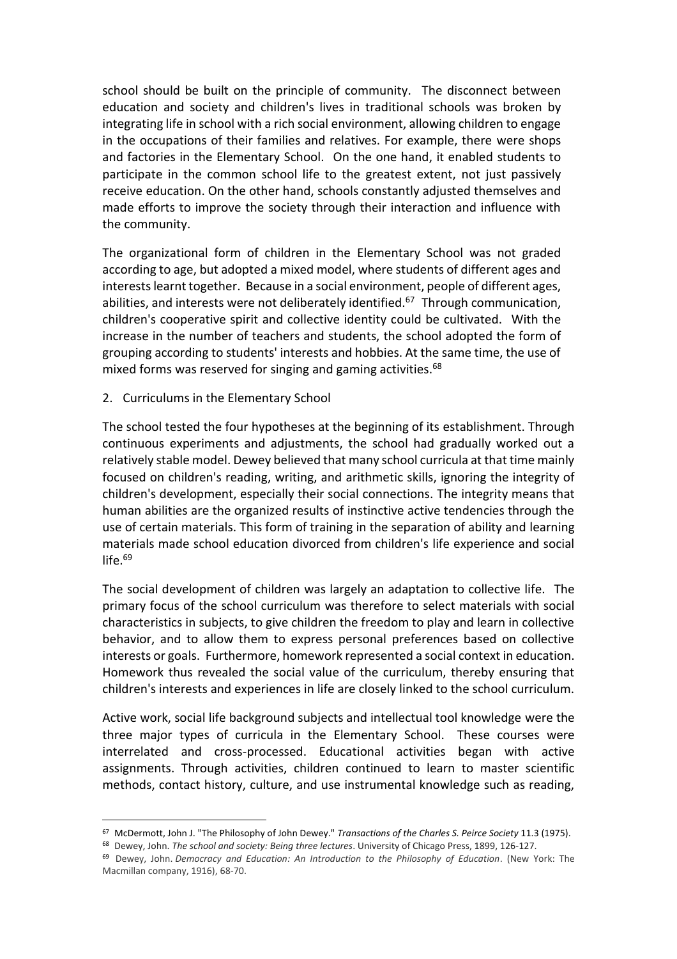school should be built on the principle of community. The disconnect between education and society and children's lives in traditional schools was broken by integrating life in school with a rich social environment, allowing children to engage in the occupations of their families and relatives. For example, there were shops and factories in the Elementary School. On the one hand, it enabled students to participate in the common school life to the greatest extent, not just passively receive education. On the other hand, schools constantly adjusted themselves and made efforts to improve the society through their interaction and influence with the community.

The organizational form of children in the Elementary School was not graded according to age, but adopted a mixed model, where students of different ages and interestslearnt together. Because in a social environment, people of different ages, abilities, and interests were not deliberately identified.<sup>67</sup> Through communication, children's cooperative spirit and collective identity could be cultivated. With the increase in the number of teachers and students, the school adopted the form of grouping according to students' interests and hobbies. At the same time, the use of mixed forms was reserved for singing and gaming activities.<sup>68</sup>

2. Curriculums in the Elementary School

l,

The school tested the four hypotheses at the beginning of its establishment. Through continuous experiments and adjustments, the school had gradually worked out a relatively stable model. Dewey believed that many school curricula at that time mainly focused on children's reading, writing, and arithmetic skills, ignoring the integrity of children's development, especially their social connections. The integrity means that human abilities are the organized results of instinctive active tendencies through the use of certain materials. This form of training in the separation of ability and learning materials made school education divorced from children's life experience and social  $l$ ife. $69$ 

The social development of children was largely an adaptation to collective life. The primary focus of the school curriculum was therefore to select materials with social characteristics in subjects, to give children the freedom to play and learn in collective behavior, and to allow them to express personal preferences based on collective interests or goals. Furthermore, homework represented a social context in education. Homework thus revealed the social value of the curriculum, thereby ensuring that children's interests and experiences in life are closely linked to the school curriculum.

Active work, social life background subjects and intellectual tool knowledge were the three major types of curricula in the Elementary School. These courses were interrelated and cross-processed. Educational activities began with active assignments. Through activities, children continued to learn to master scientific methods, contact history, culture, and use instrumental knowledge such as reading,

<sup>67</sup> McDermott, John J. "The Philosophy of John Dewey." *Transactions of the Charles S. Peirce Society* 11.3 (1975).

<sup>68</sup> Dewey, John. *The school and society: Being three lectures*. University of Chicago Press, 1899, 126-127.

<sup>69</sup> Dewey, John. *Democracy and Education: An Introduction to the Philosophy of Education*. (New York: The Macmillan company, 1916), 68-70.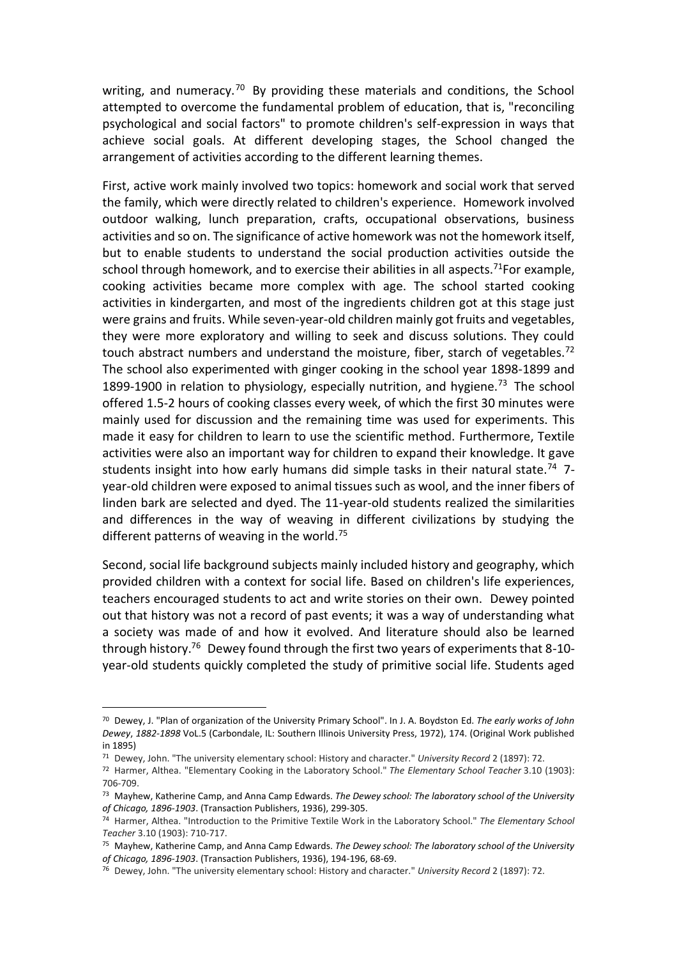writing, and numeracy.<sup>70</sup> By providing these materials and conditions, the School attempted to overcome the fundamental problem of education, that is, "reconciling psychological and social factors" to promote children's self-expression in ways that achieve social goals. At different developing stages, the School changed the arrangement of activities according to the different learning themes.

First, active work mainly involved two topics: homework and social work that served the family, which were directly related to children's experience. Homework involved outdoor walking, lunch preparation, crafts, occupational observations, business activities and so on. The significance of active homework was not the homework itself, but to enable students to understand the social production activities outside the school through homework, and to exercise their abilities in all aspects.<sup>71</sup>For example, cooking activities became more complex with age. The school started cooking activities in kindergarten, and most of the ingredients children got at this stage just were grains and fruits. While seven-year-old children mainly got fruits and vegetables, they were more exploratory and willing to seek and discuss solutions. They could touch abstract numbers and understand the moisture, fiber, starch of vegetables.<sup>72</sup> The school also experimented with ginger cooking in the school year 1898-1899 and 1899-1900 in relation to physiology, especially nutrition, and hygiene.<sup>73</sup> The school offered 1.5-2 hours of cooking classes every week, of which the first 30 minutes were mainly used for discussion and the remaining time was used for experiments. This made it easy for children to learn to use the scientific method. Furthermore, Textile activities were also an important way for children to expand their knowledge. It gave students insight into how early humans did simple tasks in their natural state.<sup>74</sup> 7year-old children were exposed to animal tissues such as wool, and the inner fibers of linden bark are selected and dyed. The 11-year-old students realized the similarities and differences in the way of weaving in different civilizations by studying the different patterns of weaving in the world.<sup>75</sup>

Second, social life background subjects mainly included history and geography, which provided children with a context for social life. Based on children's life experiences, teachers encouraged students to act and write stories on their own. Dewey pointed out that history was not a record of past events; it was a way of understanding what a society was made of and how it evolved. And literature should also be learned through history.<sup>76</sup> Dewey found through the first two years of experiments that 8-10 year-old students quickly completed the study of primitive social life. Students aged

<sup>70</sup> Dewey, J. "Plan of organization of the University Primary School". In J. A. Boydston Ed. *The early works of John Dewey*, *1882-1898* VoL.5 (Carbondale, IL: Southern Illinois University Press, 1972), 174. (Original Work published in 1895)

<sup>71</sup> Dewey, John. "The university elementary school: History and character." *University Record* 2 (1897): 72.

<sup>72</sup> Harmer, Althea. "Elementary Cooking in the Laboratory School." *The Elementary School Teacher* 3.10 (1903): 706-709.

<sup>73</sup> Mayhew, Katherine Camp, and Anna Camp Edwards. *The Dewey school: The laboratory school of the University of Chicago, 1896-1903*. (Transaction Publishers, 1936), 299-305.

<sup>74</sup> Harmer, Althea. "Introduction to the Primitive Textile Work in the Laboratory School." *The Elementary School Teacher* 3.10 (1903): 710-717.

<sup>75</sup> Mayhew, Katherine Camp, and Anna Camp Edwards. *The Dewey school: The laboratory school of the University of Chicago, 1896-1903*. (Transaction Publishers, 1936), 194-196, 68-69.

<sup>76</sup> Dewey, John. "The university elementary school: History and character." *University Record* 2 (1897): 72.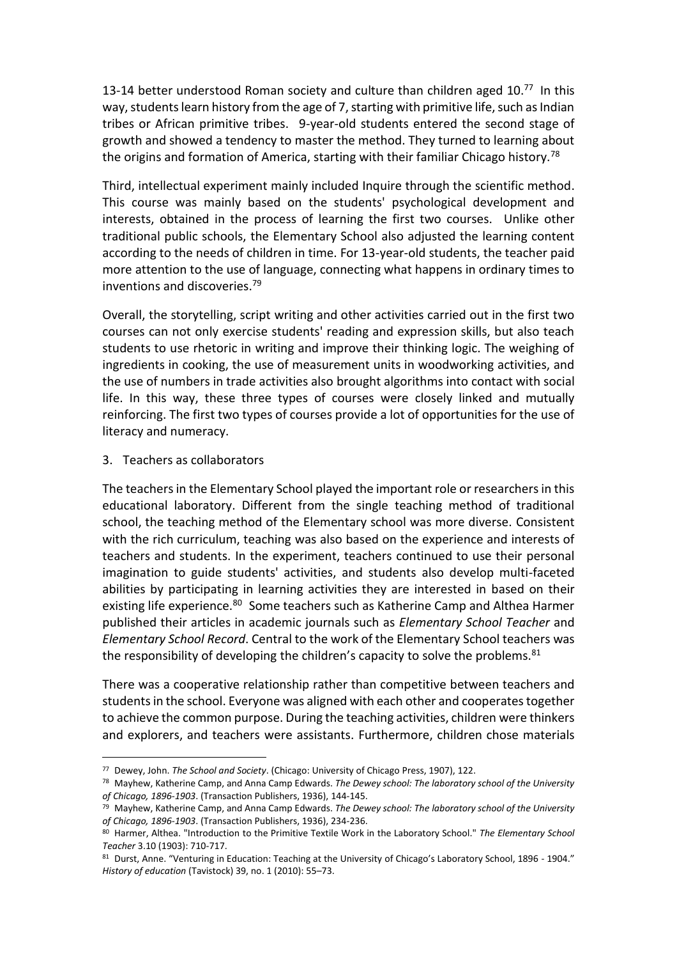13-14 better understood Roman society and culture than children aged  $10<sup>77</sup>$  In this way, students learn history from the age of 7, starting with primitive life, such as Indian tribes or African primitive tribes. 9-year-old students entered the second stage of growth and showed a tendency to master the method. They turned to learning about the origins and formation of America, starting with their familiar Chicago history.<sup>78</sup>

Third, intellectual experiment mainly included Inquire through the scientific method. This course was mainly based on the students' psychological development and interests, obtained in the process of learning the first two courses. Unlike other traditional public schools, the Elementary School also adjusted the learning content according to the needs of children in time. For 13-year-old students, the teacher paid more attention to the use of language, connecting what happens in ordinary times to inventions and discoveries.<sup>79</sup>

Overall, the storytelling, script writing and other activities carried out in the first two courses can not only exercise students' reading and expression skills, but also teach students to use rhetoric in writing and improve their thinking logic. The weighing of ingredients in cooking, the use of measurement units in woodworking activities, and the use of numbers in trade activities also brought algorithms into contact with social life. In this way, these three types of courses were closely linked and mutually reinforcing. The first two types of courses provide a lot of opportunities for the use of literacy and numeracy.

3. Teachers as collaborators

l,

The teachers in the Elementary School played the important role or researchers in this educational laboratory. Different from the single teaching method of traditional school, the teaching method of the Elementary school was more diverse. Consistent with the rich curriculum, teaching was also based on the experience and interests of teachers and students. In the experiment, teachers continued to use their personal imagination to guide students' activities, and students also develop multi-faceted abilities by participating in learning activities they are interested in based on their existing life experience.<sup>80</sup> Some teachers such as Katherine Camp and Althea Harmer published their articles in academic journals such as *Elementary School Teacher* and *Elementary School Record*. Central to the work of the Elementary School teachers was the responsibility of developing the children's capacity to solve the problems.<sup>81</sup>

There was a cooperative relationship rather than competitive between teachers and studentsin the school. Everyone was aligned with each other and cooperates together to achieve the common purpose. During the teaching activities, children were thinkers and explorers, and teachers were assistants. Furthermore, children chose materials

<sup>77</sup> Dewey, John. *The School and Society*. (Chicago: University of Chicago Press, 1907), 122.

<sup>78</sup> Mayhew, Katherine Camp, and Anna Camp Edwards. *The Dewey school: The laboratory school of the University of Chicago, 1896-1903*. (Transaction Publishers, 1936), 144-145.

<sup>79</sup> Mayhew, Katherine Camp, and Anna Camp Edwards. *The Dewey school: The laboratory school of the University of Chicago, 1896-1903*. (Transaction Publishers, 1936), 234-236.

<sup>80</sup> Harmer, Althea. "Introduction to the Primitive Textile Work in the Laboratory School." *The Elementary School Teacher* 3.10 (1903): 710-717.

<sup>81</sup> Durst, Anne. "Venturing in Education: Teaching at the University of Chicago's Laboratory School, 1896 - 1904." *History of education* (Tavistock) 39, no. 1 (2010): 55–73.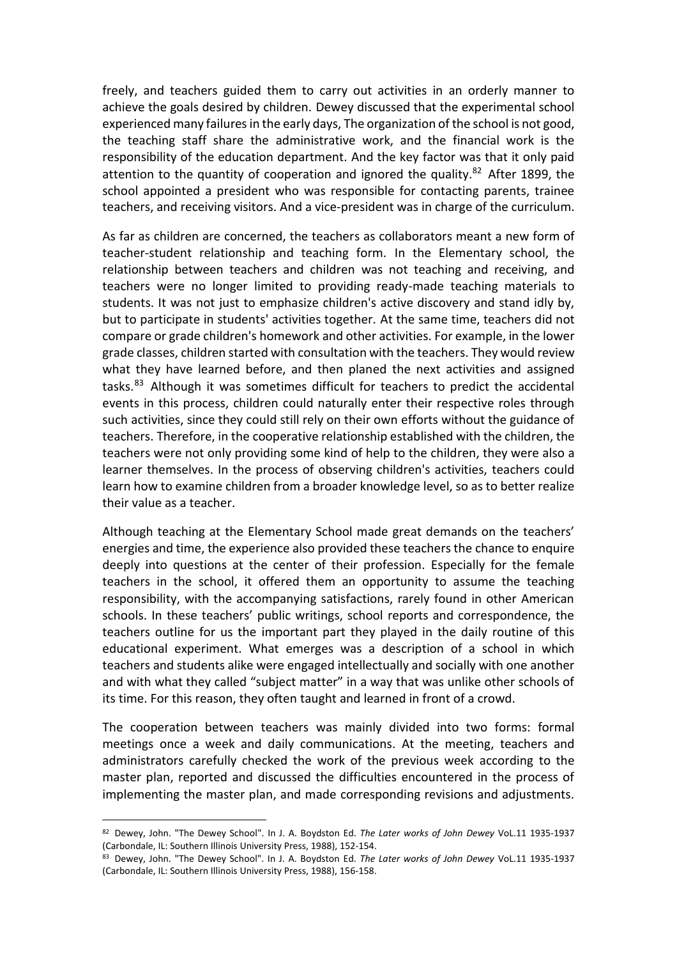freely, and teachers guided them to carry out activities in an orderly manner to achieve the goals desired by children. Dewey discussed that the experimental school experienced many failures in the early days, The organization of the school is not good, the teaching staff share the administrative work, and the financial work is the responsibility of the education department. And the key factor was that it only paid attention to the quantity of cooperation and ignored the quality. $82$  After 1899, the school appointed a president who was responsible for contacting parents, trainee teachers, and receiving visitors. And a vice-president was in charge of the curriculum.

As far as children are concerned, the teachers as collaborators meant a new form of teacher-student relationship and teaching form. In the Elementary school, the relationship between teachers and children was not teaching and receiving, and teachers were no longer limited to providing ready-made teaching materials to students. It was not just to emphasize children's active discovery and stand idly by, but to participate in students' activities together. At the same time, teachers did not compare or grade children's homework and other activities. For example, in the lower grade classes, children started with consultation with the teachers. They would review what they have learned before, and then planed the next activities and assigned tasks.<sup>83</sup> Although it was sometimes difficult for teachers to predict the accidental events in this process, children could naturally enter their respective roles through such activities, since they could still rely on their own efforts without the guidance of teachers. Therefore, in the cooperative relationship established with the children, the teachers were not only providing some kind of help to the children, they were also a learner themselves. In the process of observing children's activities, teachers could learn how to examine children from a broader knowledge level, so as to better realize their value as a teacher.

Although teaching at the Elementary School made great demands on the teachers' energies and time, the experience also provided these teachers the chance to enquire deeply into questions at the center of their profession. Especially for the female teachers in the school, it offered them an opportunity to assume the teaching responsibility, with the accompanying satisfactions, rarely found in other American schools. In these teachers' public writings, school reports and correspondence, the teachers outline for us the important part they played in the daily routine of this educational experiment. What emerges was a description of a school in which teachers and students alike were engaged intellectually and socially with one another and with what they called "subject matter" in a way that was unlike other schools of its time. For this reason, they often taught and learned in front of a crowd.

The cooperation between teachers was mainly divided into two forms: formal meetings once a week and daily communications. At the meeting, teachers and administrators carefully checked the work of the previous week according to the master plan, reported and discussed the difficulties encountered in the process of implementing the master plan, and made corresponding revisions and adjustments.

<sup>82</sup> Dewey, John. "The Dewey School". In J. A. Boydston Ed. *The Later works of John Dewey* VoL.11 1935-1937 (Carbondale, IL: Southern Illinois University Press, 1988), 152-154.

<sup>83</sup> Dewey, John. "The Dewey School". In J. A. Boydston Ed. *The Later works of John Dewey* VoL.11 1935-1937 (Carbondale, IL: Southern Illinois University Press, 1988), 156-158.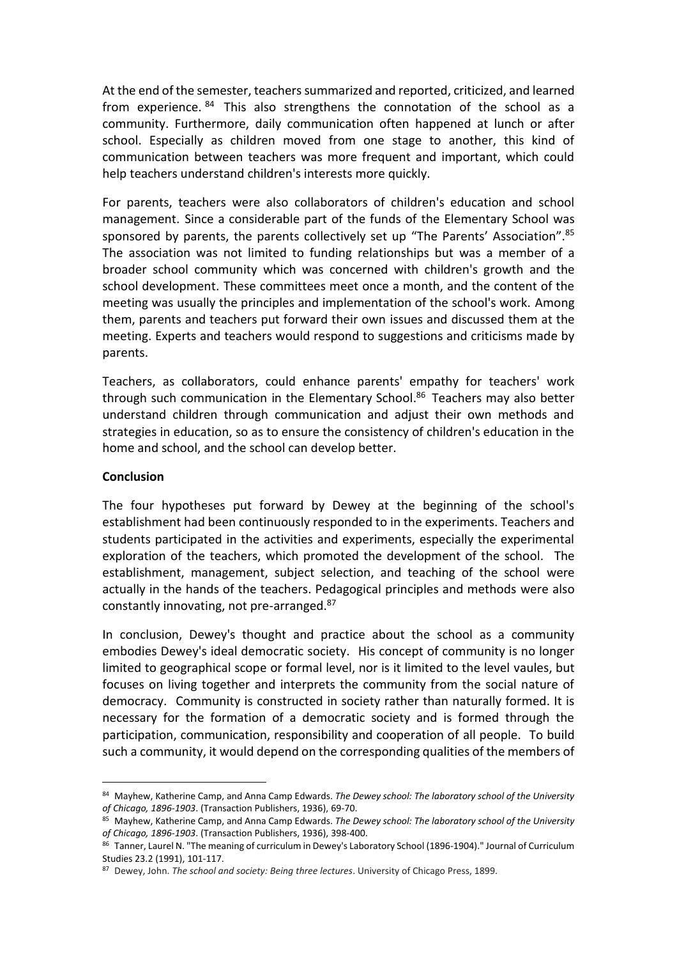At the end of the semester, teachers summarized and reported, criticized, and learned from experience.  $84$  This also strengthens the connotation of the school as a community. Furthermore, daily communication often happened at lunch or after school. Especially as children moved from one stage to another, this kind of communication between teachers was more frequent and important, which could help teachers understand children's interests more quickly.

For parents, teachers were also collaborators of children's education and school management. Since a considerable part of the funds of the Elementary School was sponsored by parents, the parents collectively set up "The Parents' Association". 85 The association was not limited to funding relationships but was a member of a broader school community which was concerned with children's growth and the school development. These committees meet once a month, and the content of the meeting was usually the principles and implementation of the school's work. Among them, parents and teachers put forward their own issues and discussed them at the meeting. Experts and teachers would respond to suggestions and criticisms made by parents.

Teachers, as collaborators, could enhance parents' empathy for teachers' work through such communication in the Elementary School. <sup>86</sup> Teachers may also better understand children through communication and adjust their own methods and strategies in education, so as to ensure the consistency of children's education in the home and school, and the school can develop better.

# **Conclusion**

l,

The four hypotheses put forward by Dewey at the beginning of the school's establishment had been continuously responded to in the experiments. Teachers and students participated in the activities and experiments, especially the experimental exploration of the teachers, which promoted the development of the school. The establishment, management, subject selection, and teaching of the school were actually in the hands of the teachers. Pedagogical principles and methods were also constantly innovating, not pre-arranged.<sup>87</sup>

In conclusion, Dewey's thought and practice about the school as a community embodies Dewey's ideal democratic society. His concept of community is no longer limited to geographical scope or formal level, nor is it limited to the level vaules, but focuses on living together and interprets the community from the social nature of democracy. Community is constructed in society rather than naturally formed. It is necessary for the formation of a democratic society and is formed through the participation, communication, responsibility and cooperation of all people. To build such a community, it would depend on the corresponding qualities of the members of

<sup>84</sup> Mayhew, Katherine Camp, and Anna Camp Edwards. *The Dewey school: The laboratory school of the University of Chicago, 1896-1903*. (Transaction Publishers, 1936), 69-70.

<sup>85</sup> Mayhew, Katherine Camp, and Anna Camp Edwards. *The Dewey school: The laboratory school of the University of Chicago, 1896-1903*. (Transaction Publishers, 1936), 398-400.

<sup>86</sup> Tanner, Laurel N. "The meaning of curriculum in Dewey's Laboratory School (1896-1904)." Journal of Curriculum Studies 23.2 (1991), 101-117.

<sup>87</sup> Dewey, John. *The school and society: Being three lectures*. University of Chicago Press, 1899.